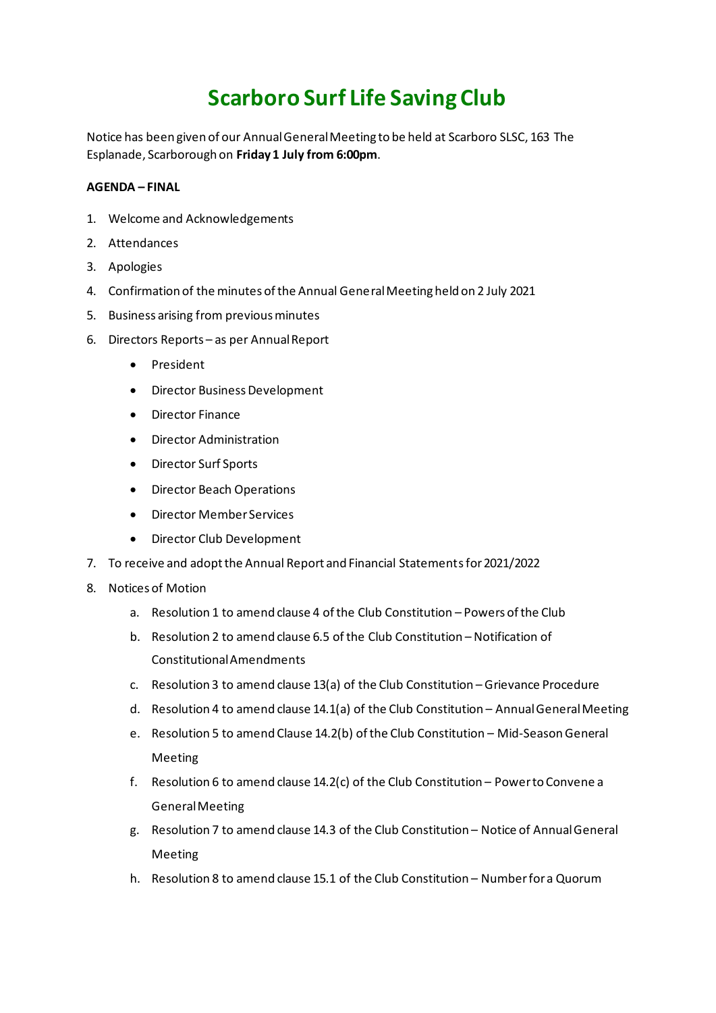# **Scarboro Surf Life Saving Club**

Notice has been given of our Annual General Meeting to be held at Scarboro SLSC, 163 The Esplanade, Scarborough on **Friday 1 July from 6:00pm**.

## **AGENDA – FINAL**

- 1. Welcome and Acknowledgements
- 2. Attendances
- 3. Apologies
- 4. Confirmation of the minutes of the Annual General Meeting held on 2 July 2021
- 5. Business arising from previous minutes
- 6. Directors Reports as per Annual Report
	- President
	- Director Business Development
	- Director Finance
	- Director Administration
	- Director Surf Sports
	- Director Beach Operations
	- Director Member Services
	- Director Club Development
- 7. To receive and adopt the Annual Report and Financial Statementsfor 2021/2022
- 8. Notices of Motion
	- a. Resolution 1 to amend clause 4 of the Club Constitution Powers of the Club
	- b. Resolution 2 to amend clause 6.5 of the Club Constitution Notification of Constitutional Amendments
	- c. Resolution 3 to amend clause 13(a) of the Club Constitution Grievance Procedure
	- d. Resolution 4 to amend clause 14.1(a) of the Club Constitution Annual General Meeting
	- e. Resolution 5 to amend Clause 14.2(b) of the Club Constitution Mid-Season General Meeting
	- f. Resolution 6 to amend clause 14.2(c) of the Club Constitution Power to Convene a General Meeting
	- g. Resolution 7 to amend clause 14.3 of the Club Constitution Notice of Annual General Meeting
	- h. Resolution 8 to amend clause 15.1 of the Club Constitution Number for a Quorum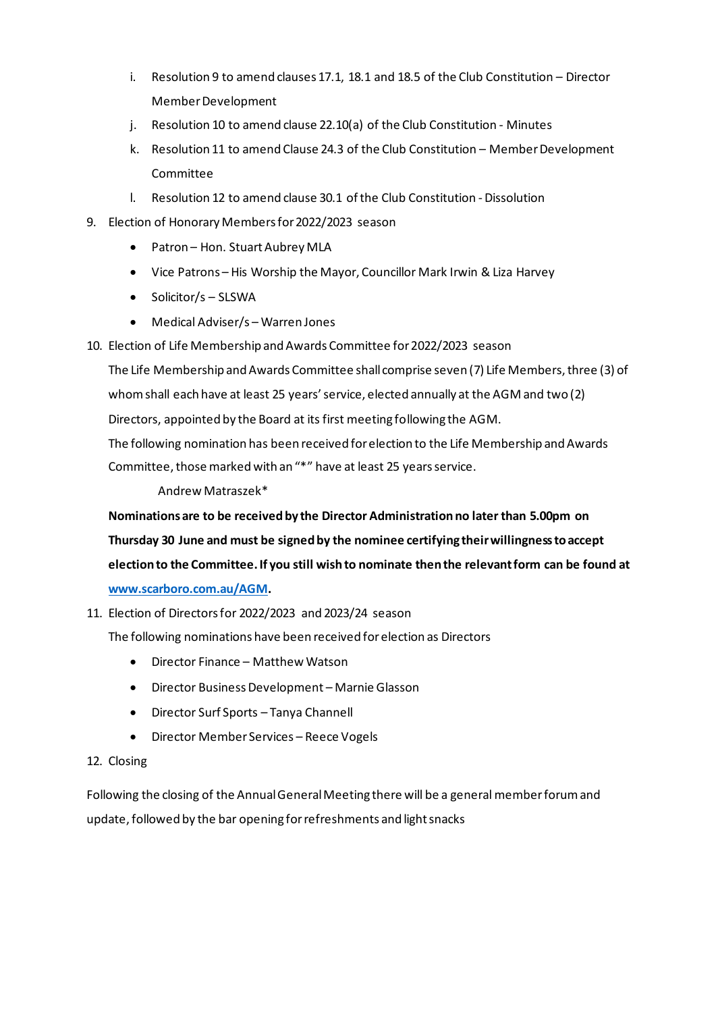- i. Resolution 9 to amend clauses 17.1, 18.1 and 18.5 of the Club Constitution Director Member Development
- j. Resolution 10 to amend clause 22.10(a) of the Club Constitution Minutes
- k. Resolution 11 to amend Clause 24.3 of the Club Constitution Member Development Committee
- l. Resolution 12 to amend clause 30.1 of the Club Constitution Dissolution
- 9. Election of Honorary Members for 2022/2023 season
	- Patron Hon. Stuart Aubrey MLA
	- Vice Patrons His Worship the Mayor, Councillor Mark Irwin & Liza Harvey
	- Solicitor/s SLSWA
	- Medical Adviser/s Warren Jones
- 10. Election of Life Membership and Awards Committee for 2022/2023 season

The Life Membership and Awards Committee shall comprise seven (7) Life Members, three (3) of whom shall each have at least 25 years' service, elected annually at the AGM and two (2) Directors, appointed by the Board at its first meeting following the AGM.

The following nomination has been received for election to the Life Membership and Awards Committee, those marked with an "\*" have at least 25 years service.

Andrew Matraszek\*

**Nominations are to be received by the Director Administration no later than 5.00pm on Thursday 30 June and must be signed by the nominee certifying their willingness to accept election to the Committee. If you still wish to nominate then the relevant form can be found at [www.scarboro.com.au/AGM.](http://www.scarboro.com.au/AGM)**

11. Election of Directors for 2022/2023 and 2023/24 season

The following nominations have been received for election as Directors

- Director Finance Matthew Watson
- Director Business Development Marnie Glasson
- Director Surf Sports Tanya Channell
- Director Member Services Reece Vogels

# 12. Closing

Following the closing of the Annual General Meeting there will be a general member forum and update, followed by the bar opening for refreshments and light snacks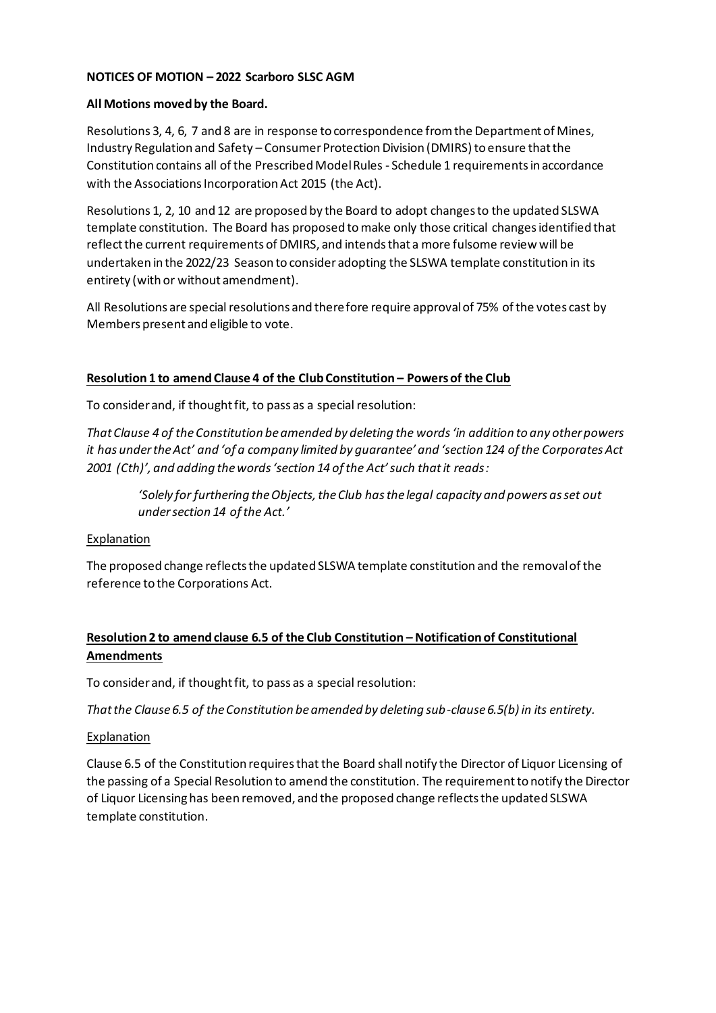# **NOTICES OF MOTION – 2022 Scarboro SLSC AGM**

#### **All Motions moved by the Board.**

Resolutions 3, 4, 6, 7 and 8 are in response to correspondence from the Department of Mines, Industry Regulation and Safety – Consumer Protection Division (DMIRS) to ensure that the Constitution contains all of the Prescribed Model Rules - Schedule 1 requirements in accordance with the Associations Incorporation Act 2015 (the Act).

Resolutions 1, 2, 10 and 12 are proposed by the Board to adopt changes to the updated SLSWA template constitution. The Board has proposed to make only those critical changes identified that reflect the current requirements of DMIRS, and intends that a more fulsome review will be undertaken in the 2022/23 Season to consider adopting the SLSWA template constitution in its entirety (with or without amendment).

All Resolutions are special resolutions and therefore require approval of 75% of the votes cast by Members present and eligible to vote.

## **Resolution 1 to amend Clause 4 of the Club Constitution – Powers of the Club**

To consider and, if thought fit, to pass as a special resolution:

*That Clause 4 of the Constitution be amended by deleting the words 'in addition to any other powers it has under the Act' and 'of a company limited by guarantee' and 'section 124 of the Corporates Act 2001 (Cth)', and adding the words 'section 14 of the Act' such that it reads:*

*'Solely for furthering the Objects, the Club has the legal capacity and powers as set out under section 14 of the Act.'*

#### **Explanation**

The proposed change reflects the updated SLSWA template constitution and the removal of the reference to the Corporations Act.

# **Resolution 2 to amend clause 6.5 of the Club Constitution – Notification of Constitutional Amendments**

To consider and, if thought fit, to pass as a special resolution:

*That the Clause 6.5 of the Constitution be amended by deleting sub-clause 6.5(b) in its entirety.*

# **Explanation**

Clause 6.5 of the Constitution requires that the Board shall notify the Director of Liquor Licensing of the passing of a Special Resolution to amend the constitution. The requirement to notify the Director of Liquor Licensing has been removed, and the proposed change reflects the updated SLSWA template constitution.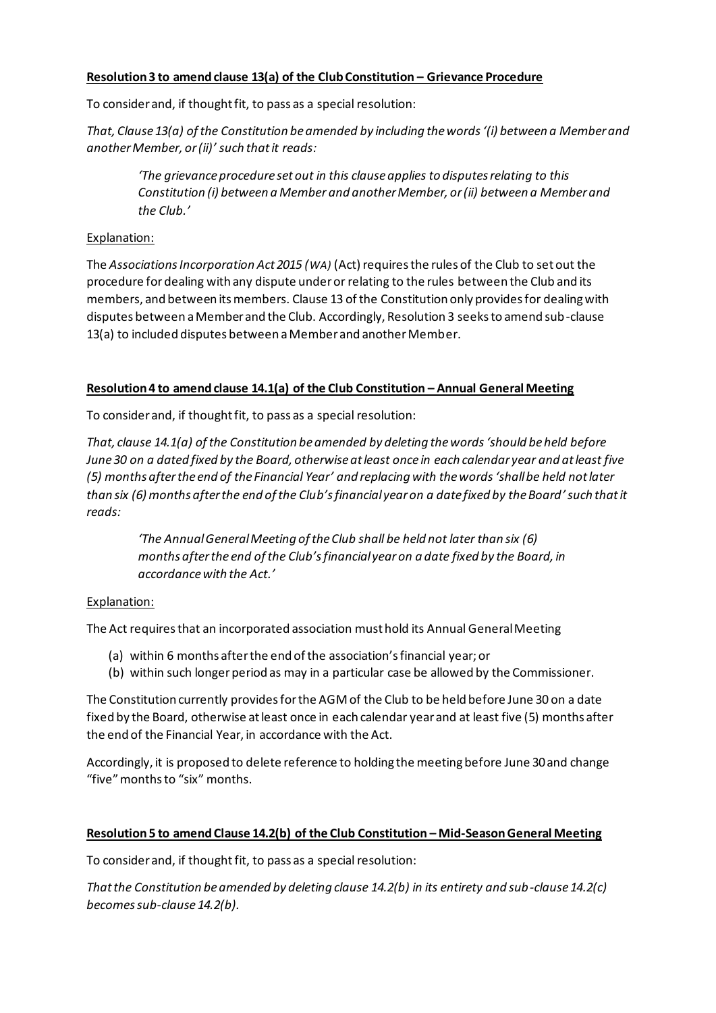# **Resolution 3 to amend clause 13(a) of the Club Constitution – Grievance Procedure**

To consider and, if thought fit, to pass as a special resolution:

*That, Clause 13(a) of the Constitution be amended by including the words '(i) between a Member and another Member, or (ii)' such that it reads:*

*'The grievance procedure set out in this clause applies to disputes relating to this Constitution (i) between a Member and another Member, or (ii) between a Member and the Club.'*

## Explanation:

The *Associations Incorporation Act 2015 (WA)* (Act) requires the rules of the Club to set out the procedure for dealing with any dispute under or relating to the rules between the Club and its members, and between its members. Clause 13 of the Constitution only provides for dealing with disputes between a Member and the Club. Accordingly, Resolution 3 seeks to amend sub-clause 13(a) to included disputes between a Member and another Member.

## **Resolution 4 to amend clause 14.1(a) of the Club Constitution – Annual General Meeting**

To consider and, if thought fit, to pass as a special resolution:

*That, clause 14.1(a) of the Constitution be amended by deleting the words 'should be held before June 30 on a dated fixed by the Board, otherwise at least once in each calendar year and at least five (5) months after the end of the Financial Year' and replacing with the words 'shall be held not later than six (6) months after the end of the Club's financial year on a date fixed by the Board'such that it reads:*

*'The Annual General Meeting of the Club shall be held not later than six (6) months after the end of the Club's financial year on a date fixed by the Board, in accordance with the Act.'*

# Explanation:

The Act requires that an incorporated association must hold its Annual General Meeting

- (a) within 6 months after the end of the association's financial year; or
- (b) within such longer period as may in a particular case be allowed by the Commissioner.

The Constitution currently provides for the AGM of the Club to be held before June 30 on a date fixed by the Board, otherwise at least once in each calendar year and at least five (5) months after the end of the Financial Year, in accordance with the Act.

Accordingly, it is proposed to delete reference to holding the meeting before June 30 and change "five" months to "six" months.

## **Resolution 5 to amend Clause 14.2(b) of the Club Constitution – Mid-Season General Meeting**

To consider and, if thought fit, to pass as a special resolution:

*That the Constitution be amended by deleting clause 14.2(b) in its entirety and sub-clause 14.2(c) becomes sub-clause 14.2(b).*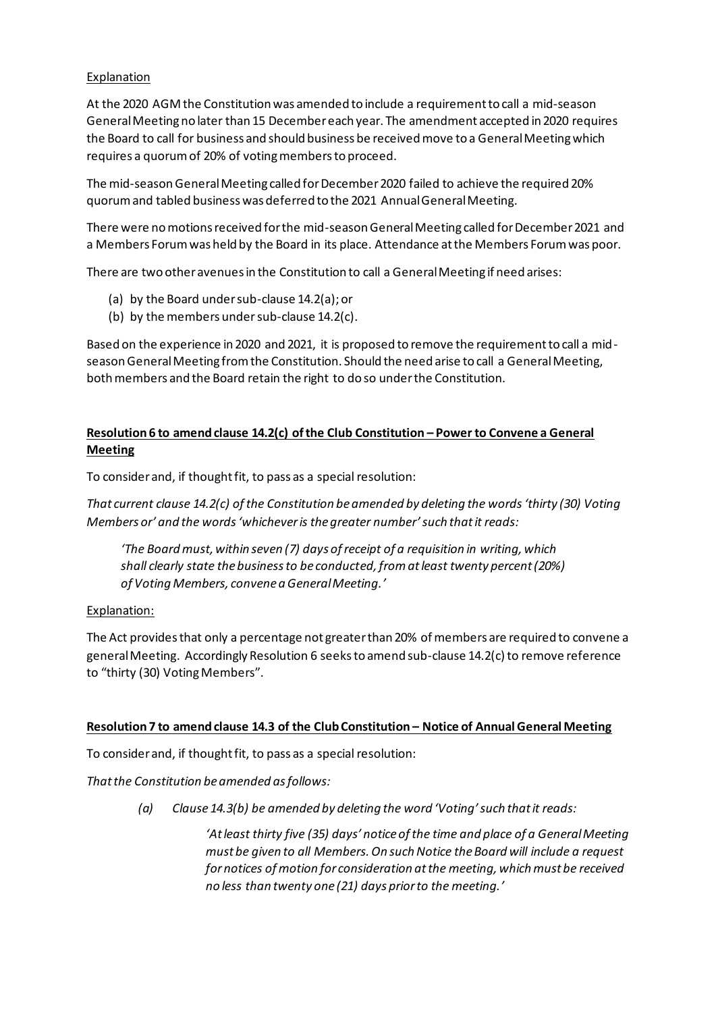# Explanation

At the 2020 AGM the Constitution was amended to include a requirement to call a mid-season General Meeting no later than 15 December each year. The amendment accepted in 2020 requires the Board to call for business and should business be received move to a General Meeting which requires a quorum of 20% of voting members to proceed.

The mid-season General Meeting called for December 2020 failed to achieve the required 20% quorum and tabled business was deferred to the 2021 Annual General Meeting.

There were no motions received for the mid-season General Meeting called for December 2021 and a Members Forum was held by the Board in its place. Attendance at the Members Forum was poor.

There are two other avenues in the Constitution to call a General Meeting if need arises:

- (a) by the Board under sub-clause 14.2(a); or
- (b) by the members under sub-clause 14.2(c).

Based on the experience in 2020 and 2021, it is proposed to remove the requirement to call a midseason General Meeting from the Constitution. Should the need arise to call a General Meeting, both members and the Board retain the right to do so under the Constitution.

# **Resolution 6 to amend clause 14.2(c) of the Club Constitution – Power to Convene a General Meeting**

To consider and, if thought fit, to pass as a special resolution:

*That current clause 14.2(c) of the Constitution be amended by deleting the words 'thirty (30) Voting Members or' and the words 'whichever is the greater number'such that it reads:*

*'The Board must, within seven (7) days of receipt of a requisition in writing, which shall clearly state the business to be conducted, from at least twenty percent (20%) of Voting Members, convene a General Meeting.'*

# Explanation:

The Act provides that only a percentage not greater than 20% of members are required to convene a general Meeting. Accordingly Resolution 6 seeks to amend sub-clause 14.2(c) to remove reference to "thirty (30) Voting Members".

#### **Resolution 7 to amend clause 14.3 of the Club Constitution – Notice of Annual General Meeting**

To consider and, if thought fit, to pass as a special resolution:

*That the Constitution be amended as follows:*

*(a) Clause 14.3(b) be amended by deleting the word 'Voting' such that it reads:*

*'At least thirty five (35) days' notice of the time and place of a General Meeting must be given to all Members. On such Notice the Board will include a request for notices of motion for consideration at the meeting, which must be received no less than twenty one (21) days prior to the meeting.'*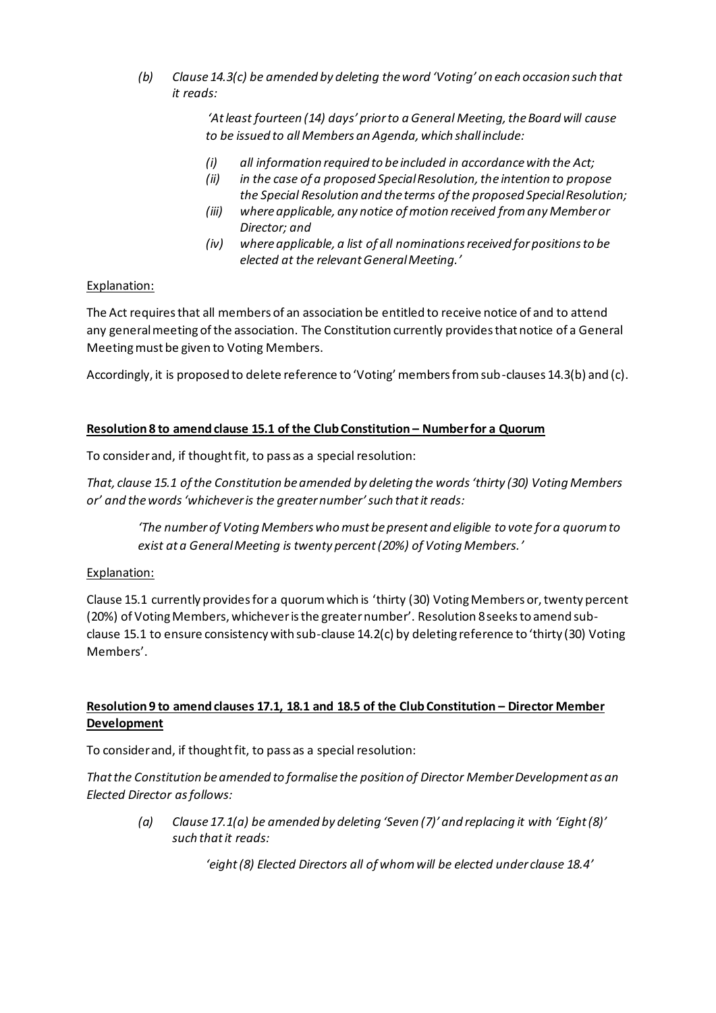*(b) Clause 14.3(c) be amended by deleting the word 'Voting' on each occasion such that it reads:*

> *'At least fourteen (14) days' prior to a General Meeting, the Board will cause to be issued to all Members an Agenda, which shall include:*

- *(i) all information required to be included in accordance with the Act;*
- *(ii) in the case of a proposed Special Resolution, the intention to propose the Special Resolution and the terms of the proposed Special Resolution;*
- *(iii) where applicable, any notice of motion received from any Member or Director; and*
- *(iv) where applicable, a list of all nominations received for positions to be elected at the relevant General Meeting.'*

## Explanation:

The Act requires that all members of an association be entitled to receive notice of and to attend any general meeting of the association. The Constitution currently provides that notice of a General Meeting must be given to Voting Members.

Accordingly, it is proposed to delete reference to 'Voting' members from sub-clauses 14.3(b) and (c).

## **Resolution 8 to amend clause 15.1 of the Club Constitution – Number for a Quorum**

To consider and, if thought fit, to pass as a special resolution:

*That, clause 15.1 of the Constitution be amended by deleting the words 'thirty (30) Voting Members or' and the words 'whichever is the greater number'such that it reads:*

*'The number of Voting Members who must be present and eligible to vote for a quorum to exist at a General Meeting is twenty percent (20%) of Voting Members.'*

#### Explanation:

Clause 15.1 currently provides for a quorum which is 'thirty (30) Voting Members or, twenty percent (20%) of Voting Members, whichever is the greater number'. Resolution 8seeks to amend subclause 15.1 to ensure consistency with sub-clause 14.2(c) by deleting reference to 'thirty (30) Voting Members'.

# **Resolution 9 to amend clauses 17.1, 18.1 and 18.5 of the Club Constitution – Director Member Development**

To consider and, if thought fit, to pass as a special resolution:

*That the Constitution be amended to formalise the position of Director Member Development as an Elected Director as follows:*

*(a) Clause 17.1(a) be amended by deleting 'Seven (7)' and replacing it with 'Eight (8)' such that it reads:*

*'eight(8) Elected Directors all of whom will be elected under clause 18.4'*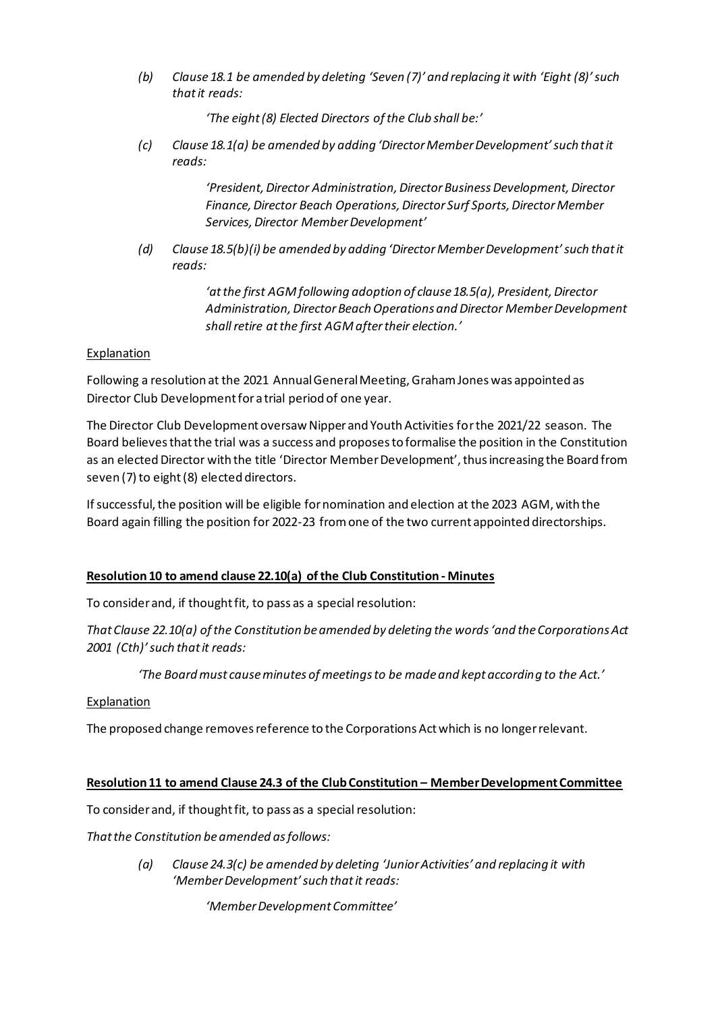*(b) Clause 18.1 be amended by deleting 'Seven (7)' and replacing it with 'Eight (8)' such that it reads:*

*'The eight (8) Elected Directors of the Club shall be:'*

*(c) Clause 18.1(a) be amended by adding 'Director Member Development' such that it reads:*

> *'President, Director Administration, Director Business Development, Director Finance, Director Beach Operations, Director Surf Sports, Director Member Services, Director Member Development'*

*(d) Clause 18.5(b)(i) be amended by adding 'Director Member Development' such that it reads:*

> *'at the first AGM following adoption of clause 18.5(a), President, Director Administration, Director Beach Operations and Director Member Development shall retire at the first AGM after their election.'*

# Explanation

Following a resolution at the 2021 Annual General Meeting, Graham Jones was appointed as Director Club Development for a trial period of one year.

The Director Club Development oversaw Nipper and Youth Activities for the 2021/22 season. The Board believes that the trial was a success and proposes to formalise the position in the Constitution as an elected Director with the title 'Director Member Development', thus increasing the Board from seven (7) to eight (8) elected directors.

If successful, the position will be eligible for nomination and election at the 2023 AGM, with the Board again filling the position for 2022-23 from one of the two current appointed directorships.

# **Resolution 10 to amend clause 22.10(a) ofthe Club Constitution - Minutes**

To consider and, if thought fit, to pass as a special resolution:

*That Clause 22.10(a) of the Constitution be amended by deleting the words 'and the Corporations Act 2001 (Cth)' such that it reads:*

*'The Board must cause minutes of meetings to be made and kept according to the Act.'*

#### **Explanation**

The proposed change removes reference to the Corporations Act which is no longer relevant.

#### **Resolution 11 to amend Clause 24.3 of the Club Constitution – Member Development Committee**

To consider and, if thought fit, to pass as a special resolution:

*That the Constitution be amended as follows:*

*(a) Clause 24.3(c) be amended by deleting 'Junior Activities' and replacing it with 'Member Development' such that it reads:*

*'Member Development Committee'*